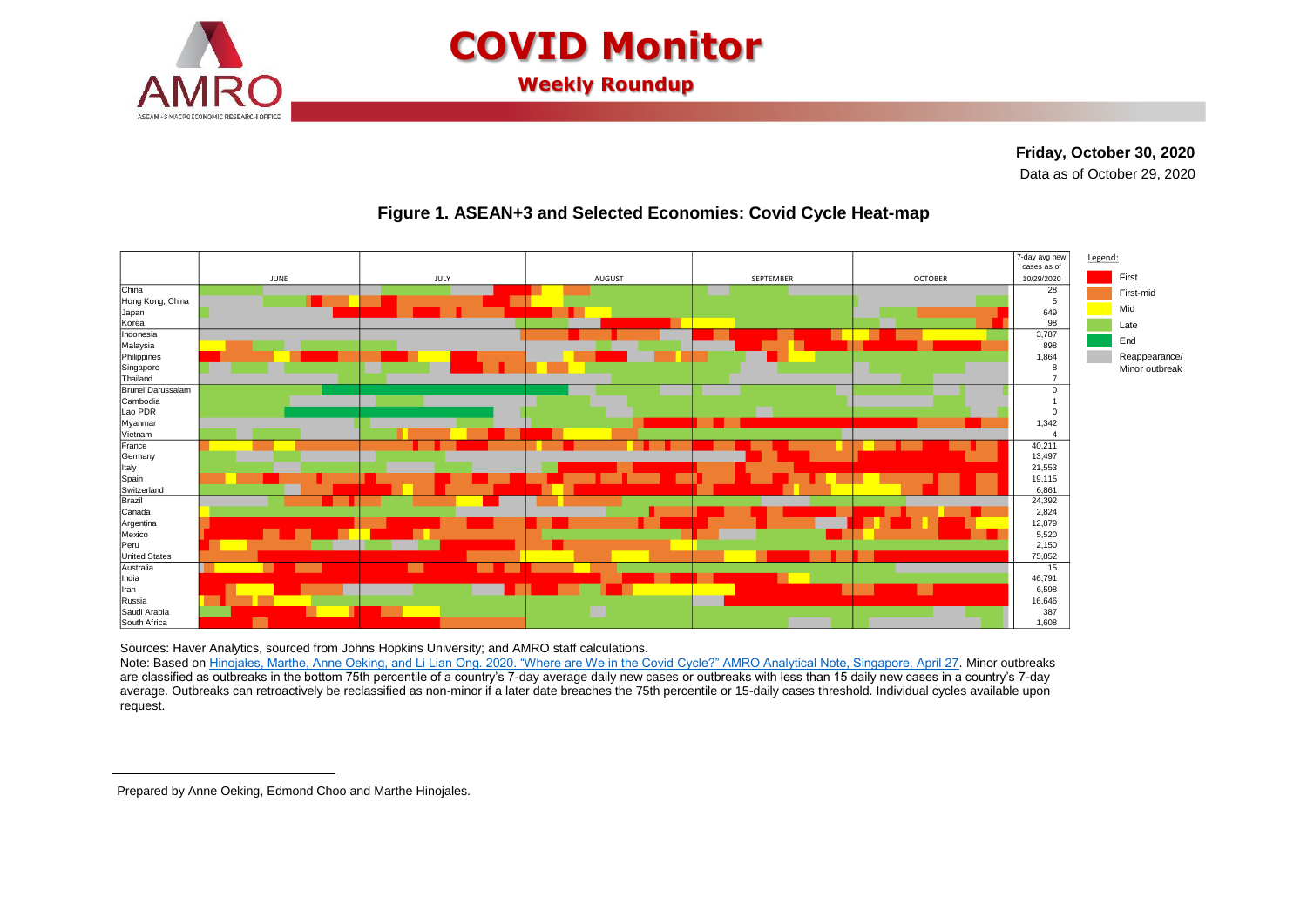

# **COVID Monitor**

**Weekly Roundup**

**Friday, October 30, 2020 <sup>1</sup>**Data as of October 29, 2020



### **Figure 1. ASEAN+3 and Selected Economies: Covid Cycle Heat-map**

Sources: Haver Analytics, sourced from Johns Hopkins University; and AMRO staff calculations.

Note: Based on [Hinojales, Marthe, Anne Oeking, and Li Lian Ong. 2020. "Where are We in the Covid Cycle?" AMRO Analytical Note, Singapore, April 27.](https://www.amro-asia.org/where-are-we-in-the-covid-cycle/) Minor outbreaks are classified as outbreaks in the bottom 75th percentile of a country's 7-day average daily new cases or outbreaks with less than 15 daily new cases in a country's 7-day average. Outbreaks can retroactively be reclassified as non-minor if a later date breaches the 75th percentile or 15-daily cases threshold. Individual cycles available upon request.

 $\overline{a}$ 

Prepared by Anne Oeking, Edmond Choo and Marthe Hinojales.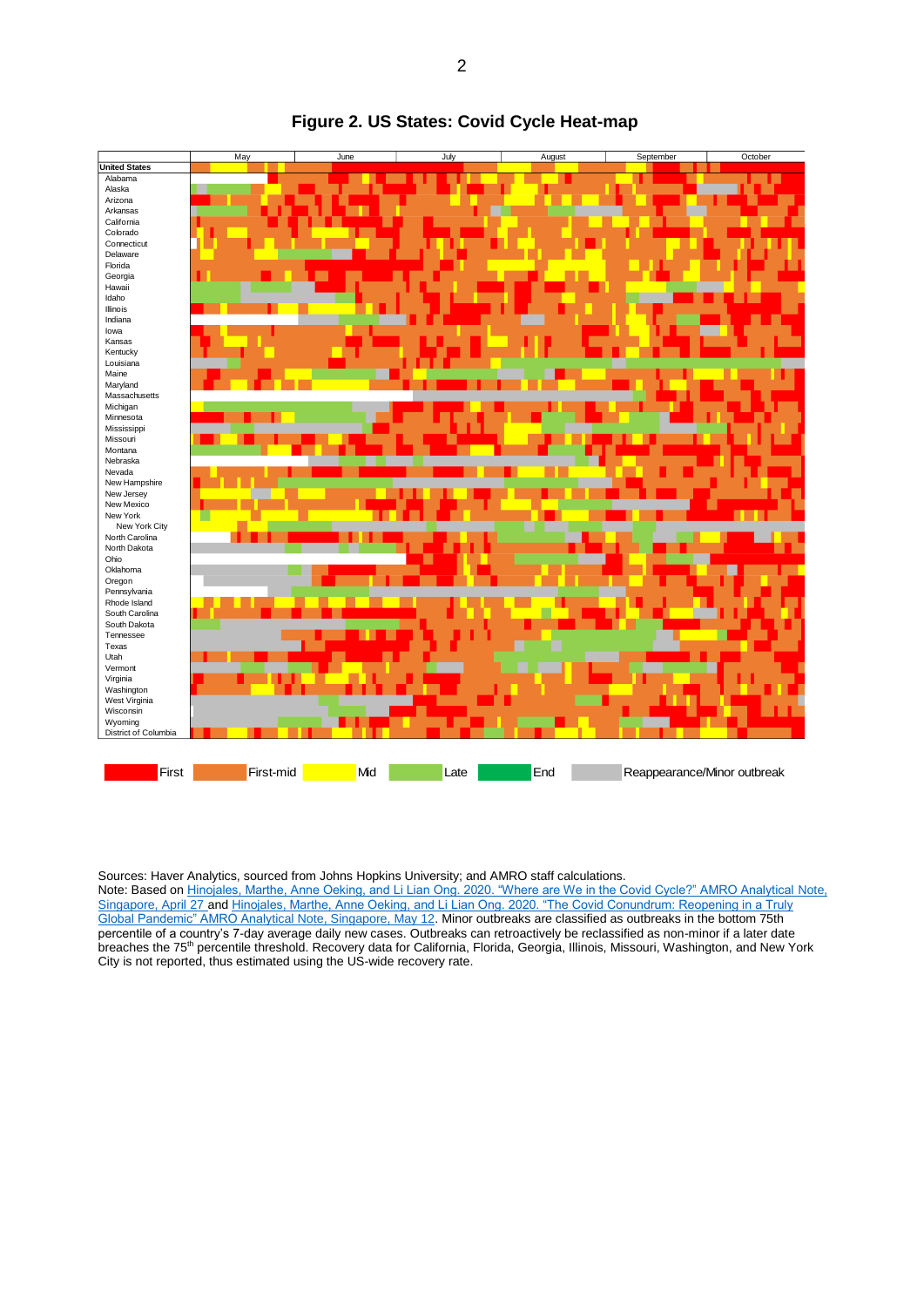

#### **Figure 2. US States: Covid Cycle Heat-map**

Sources: Haver Analytics, sourced from Johns Hopkins University; and AMRO staff calculations.

Note: Based o[n Hinojales, Marthe, Anne Oeking, and Li Lian Ong. 2020. "Where are We in the Covid Cycle?" AMRO Analytical](https://www.amro-asia.org/where-are-we-in-the-covid-cycle/) Note, [Singapore, April 27](https://www.amro-asia.org/where-are-we-in-the-covid-cycle/) an[d Hinojales, Marthe, Anne Oeking, and Li Lian Ong. 2020. "The Covid Conundrum: Reopening in a Truly](https://www.amro-asia.org/the-covid-conundrum-reopening-in-a-truly-global-pandemic/)  [Global Pandemic" AMRO Analytical Note, Singapore, May 12.](https://www.amro-asia.org/the-covid-conundrum-reopening-in-a-truly-global-pandemic/) Minor outbreaks are classified as outbreaks in the bottom 75th percentile of a country's 7-day average daily new cases. Outbreaks can retroactively be reclassified as non-minor if a later date breaches the 75<sup>th</sup> percentile threshold. Recovery data for California, Florida, Georgia, Illinois, Missouri, Washington, and New York City is not reported, thus estimated using the US-wide recovery rate.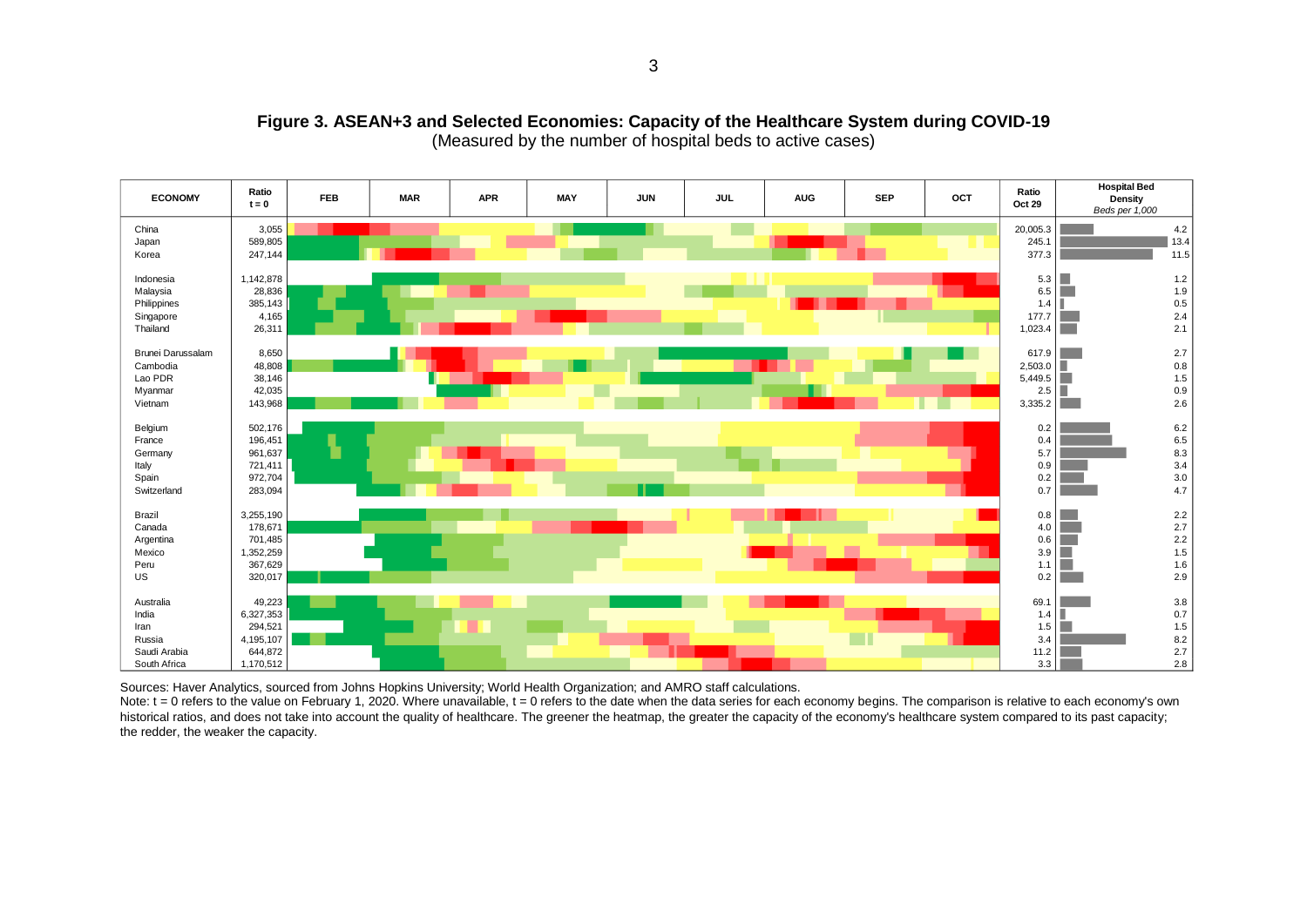

#### **Figure 3. ASEAN+3 and Selected Economies: Capacity of the Healthcare System during COVID-19** (Measured by the number of hospital beds to active cases)

Sources: Haver Analytics, sourced from Johns Hopkins University; World Health Organization; and AMRO staff calculations.

Note:  $t = 0$  refers to the value on February 1, 2020. Where unavailable,  $t = 0$  refers to the date when the data series for each economy begins. The comparison is relative to each economy's own historical ratios, and does not take into account the quality of healthcare. The greener the heatmap, the greater the capacity of the economy's healthcare system compared to its past capacity; the redder, the weaker the capacity.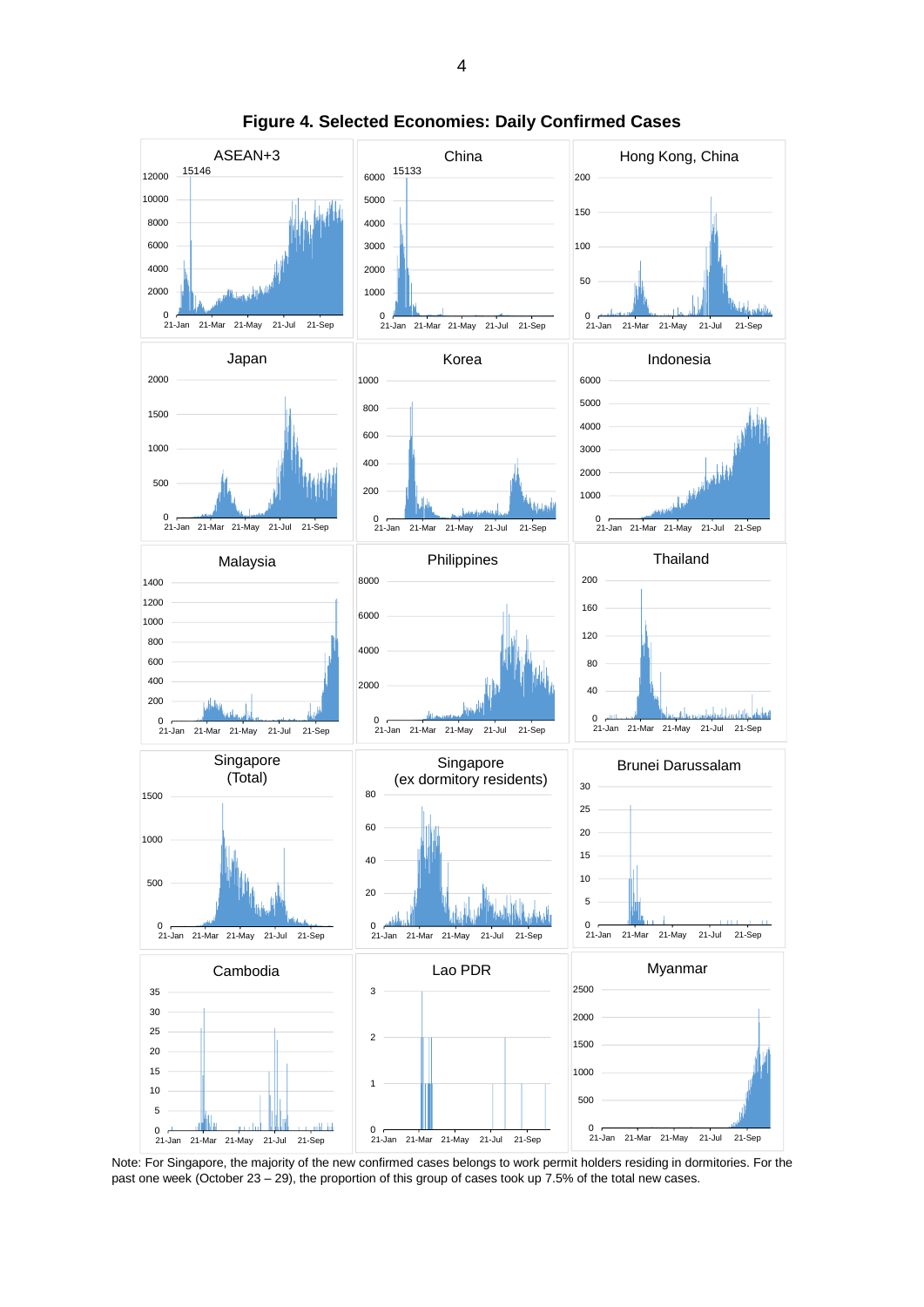

**Figure 4. Selected Economies: Daily Confirmed Cases**

Note: For Singapore, the majority of the new confirmed cases belongs to work permit holders residing in dormitories. For the past one week (October 23 – 29), the proportion of this group of cases took up 7.5% of the total new cases.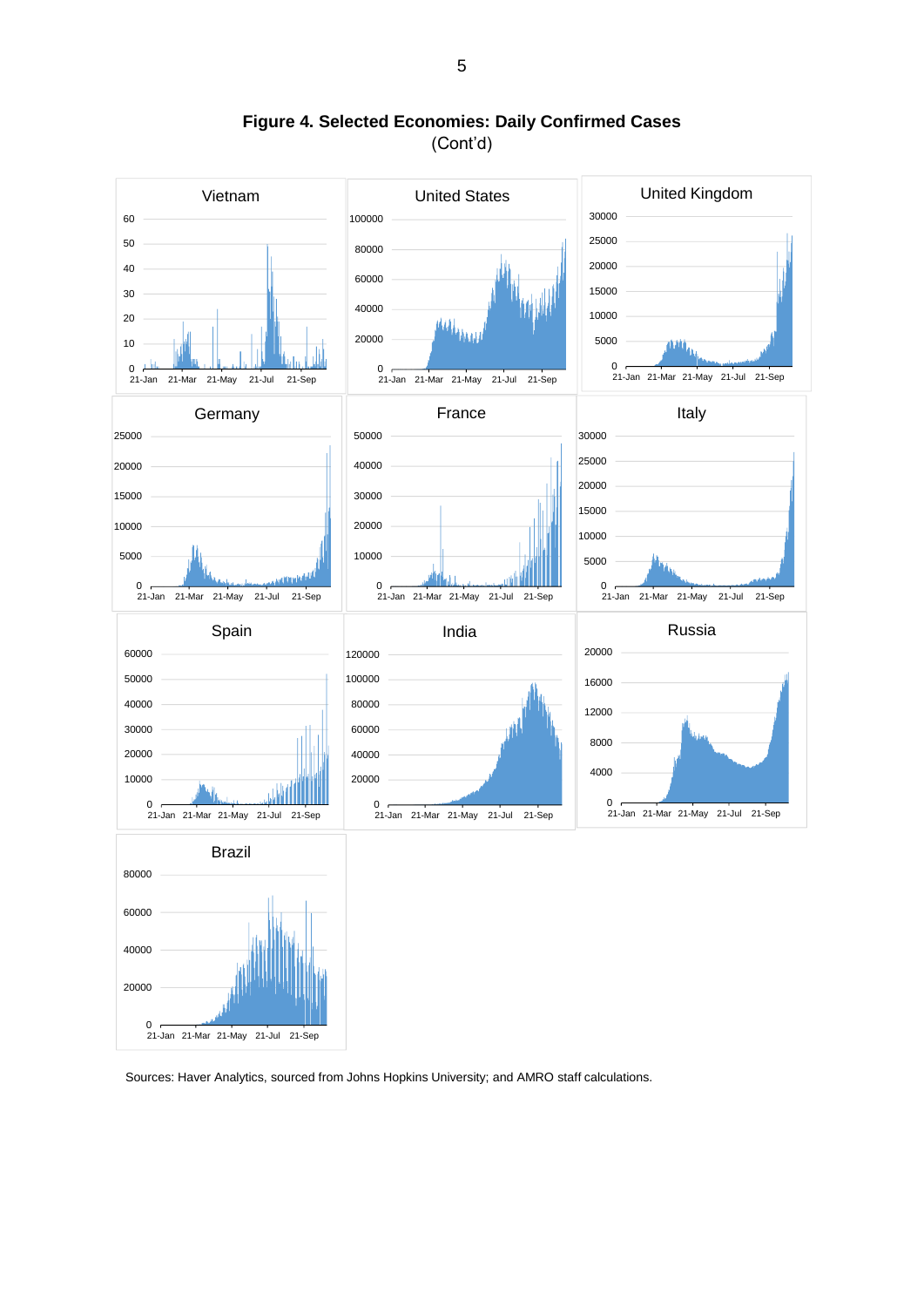

**Figure 4. Selected Economies: Daily Confirmed Cases** (Cont'd)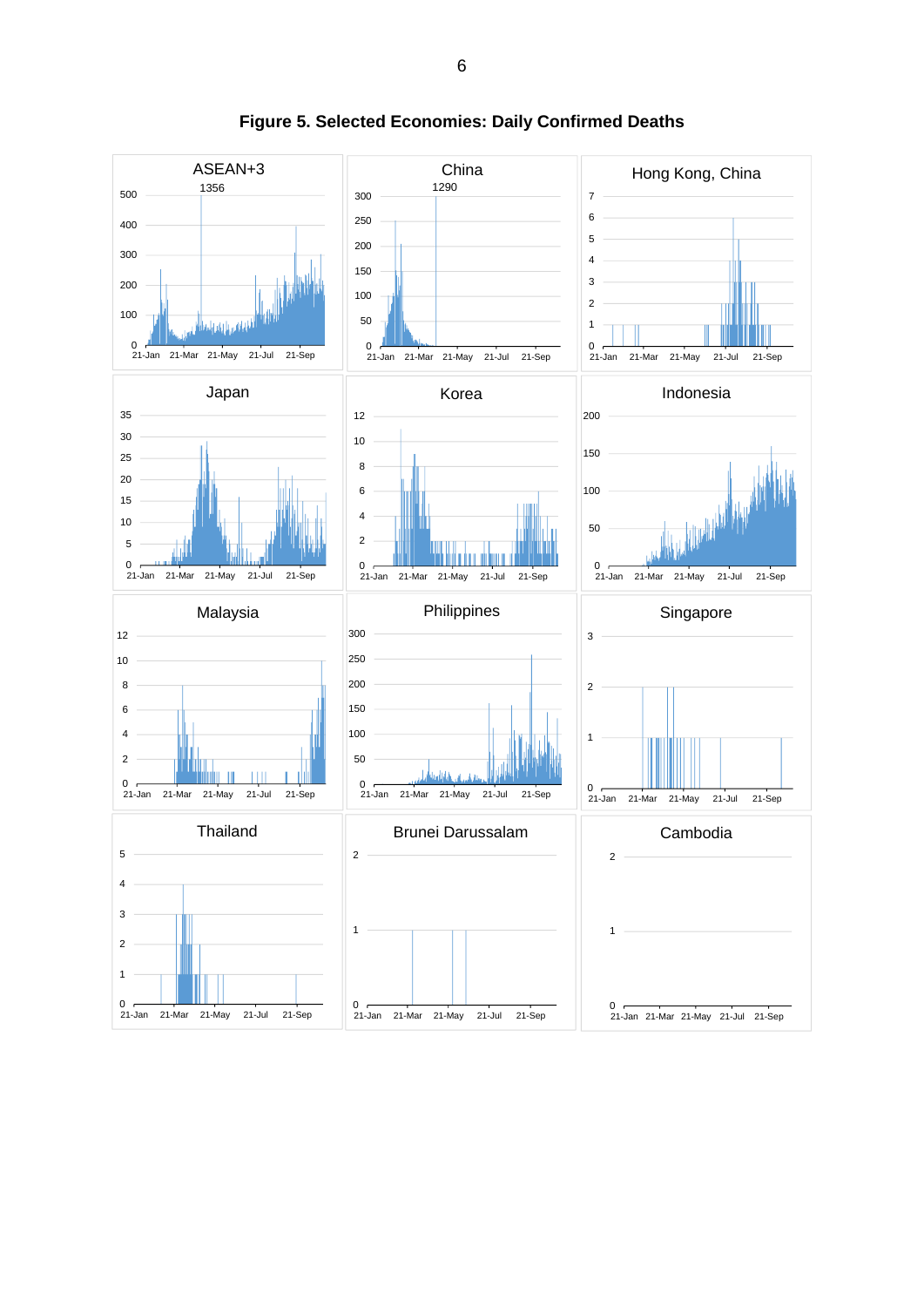

**Figure 5. Selected Economies: Daily Confirmed Deaths**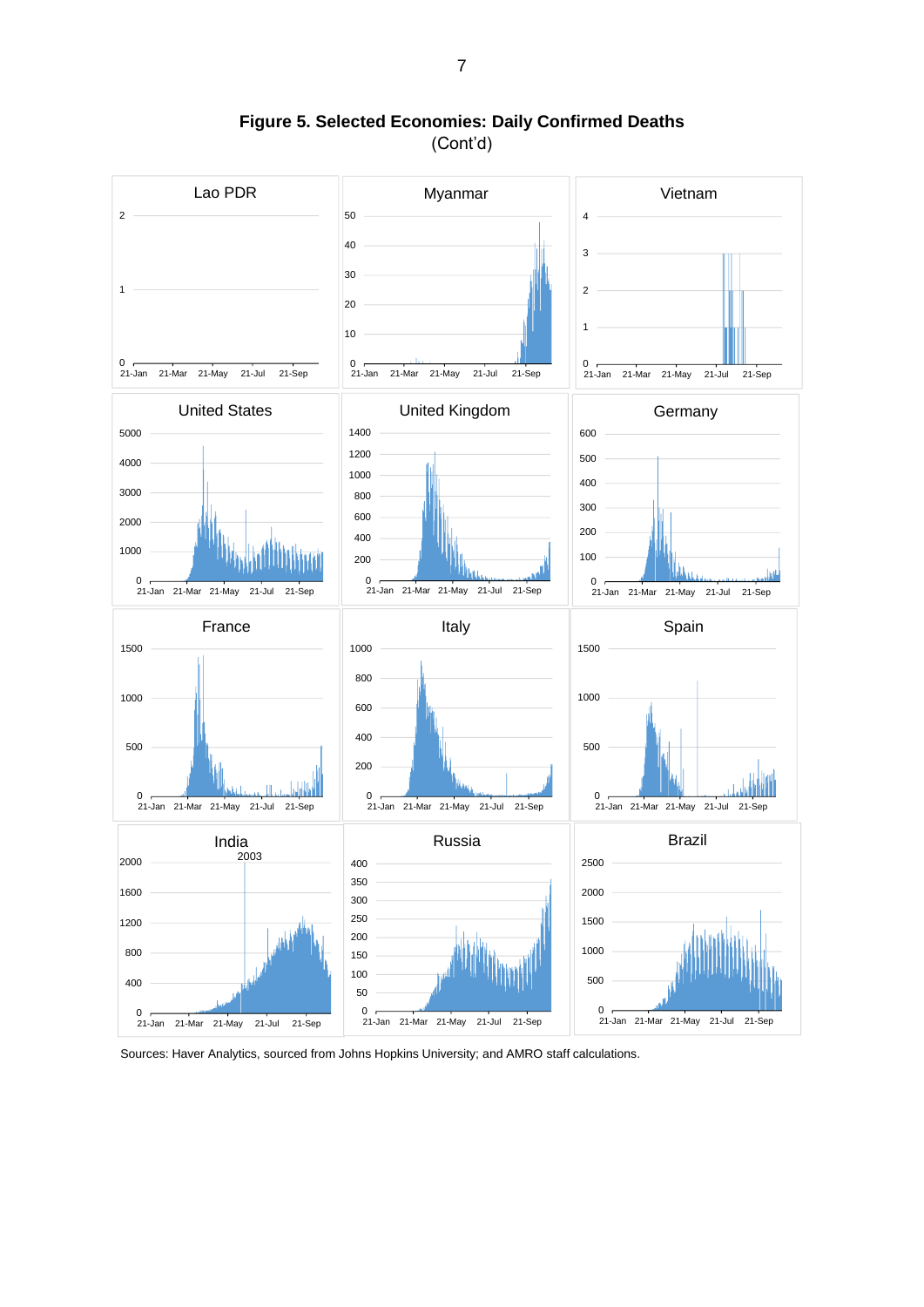

**Figure 5. Selected Economies: Daily Confirmed Deaths** (Cont'd)

Sources: Haver Analytics, sourced from Johns Hopkins University; and AMRO staff calculations.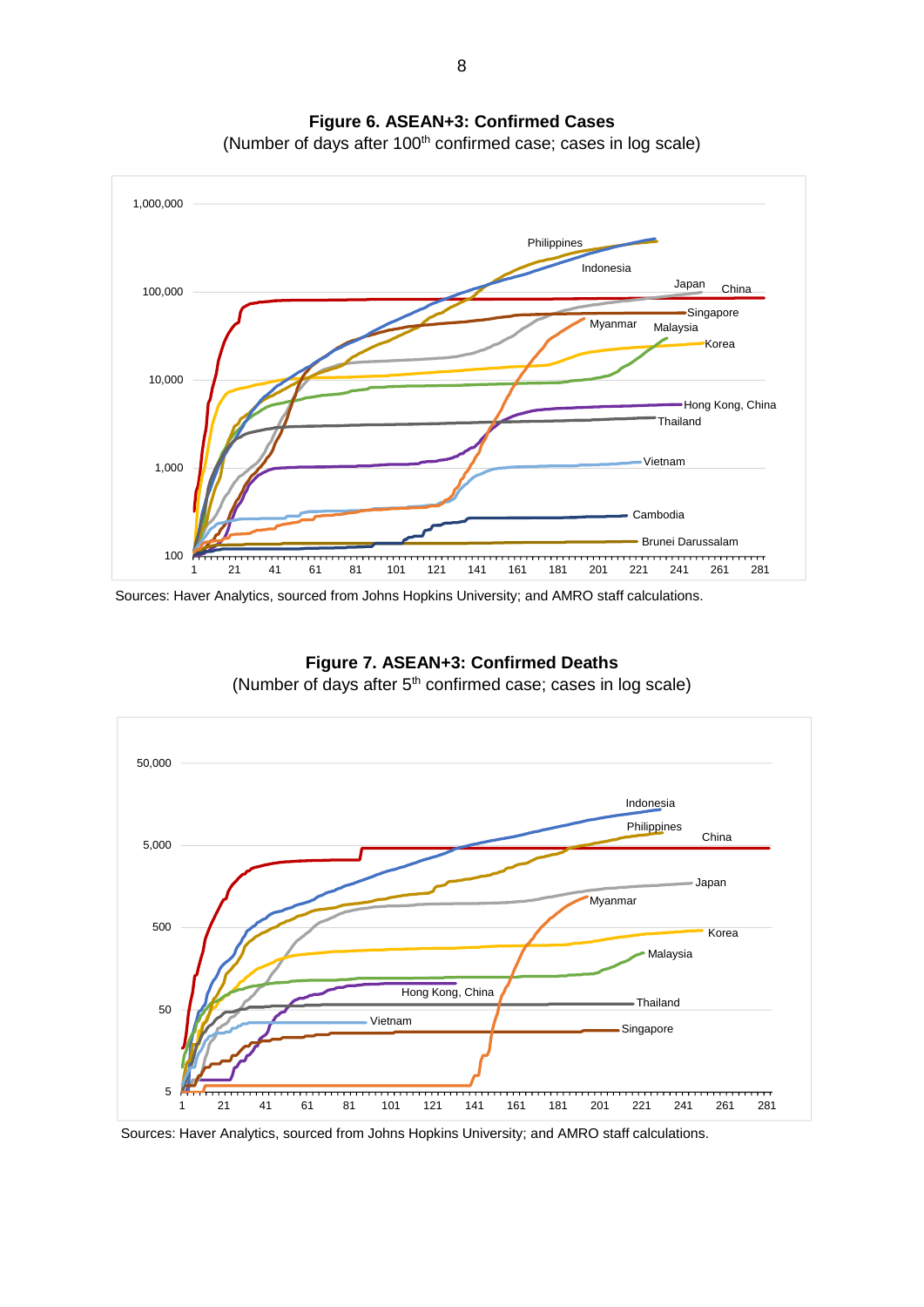

**Figure 6. ASEAN+3: Confirmed Cases** (Number of days after 100<sup>th</sup> confirmed case; cases in log scale)

Sources: Haver Analytics, sourced from Johns Hopkins University; and AMRO staff calculations.



**Figure 7. ASEAN+3: Confirmed Deaths** (Number of days after  $5<sup>th</sup>$  confirmed case; cases in log scale)

Sources: Haver Analytics, sourced from Johns Hopkins University; and AMRO staff calculations.

8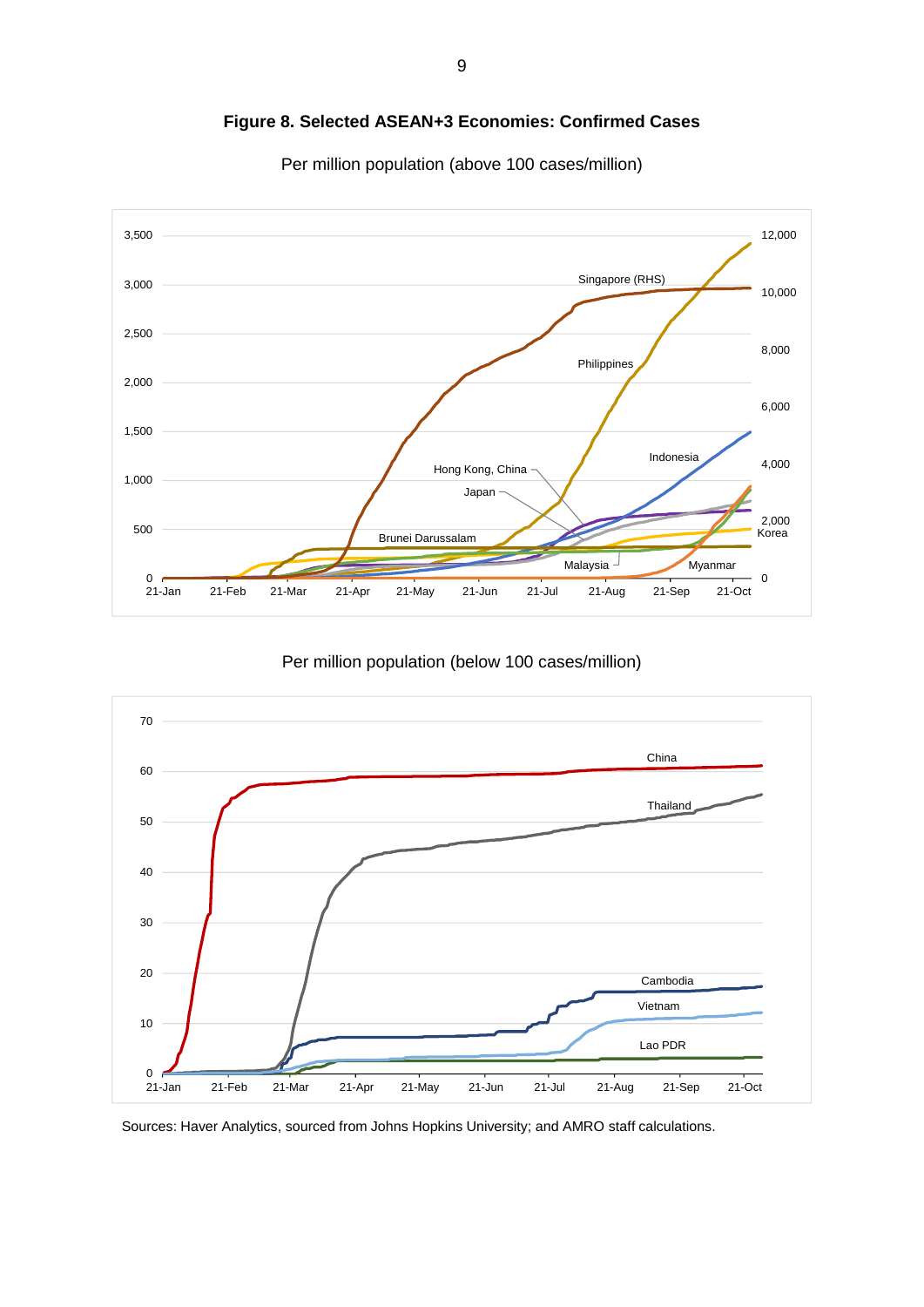

**Figure 8. Selected ASEAN+3 Economies: Confirmed Cases**

Per million population (above 100 cases/million)

Per million population (below 100 cases/million)

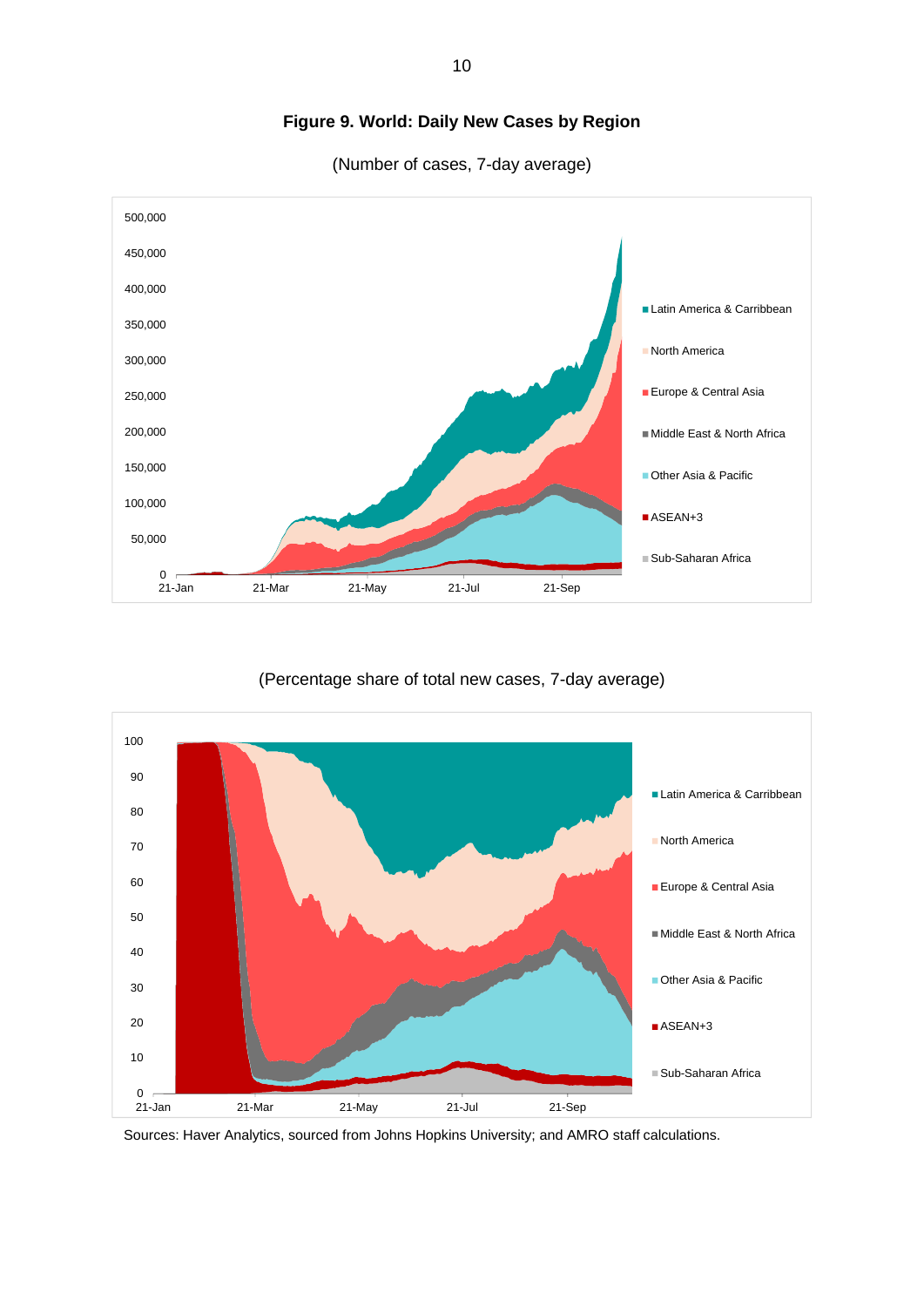

## **Figure 9. World: Daily New Cases by Region**

(Number of cases, 7-day average)

#### (Percentage share of total new cases, 7-day average)